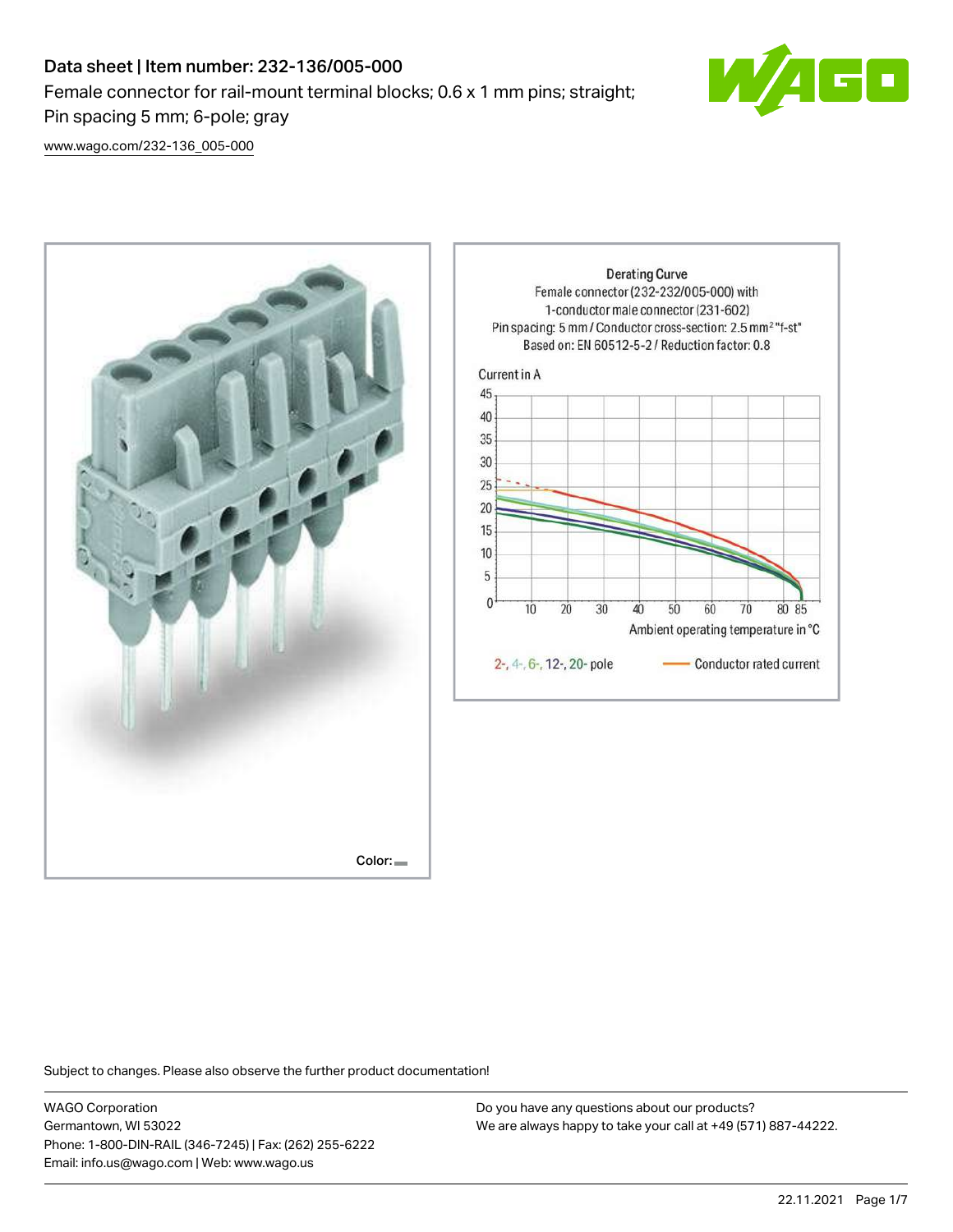# Data sheet | Item number: 232-136/005-000 Female connector for rail-mount terminal blocks; 0.6 x 1 mm pins; straight; Pin spacing 5 mm; 6-pole; gray



[www.wago.com/232-136\\_005-000](http://www.wago.com/232-136_005-000)



Do you have any questions about our products? We are always happy to take your call at +49 (571) 887-44222.

70

80 85

Subject to changes. Please also observe the further product documentation!

WAGO Corporation Germantown, WI 53022 Phone: 1-800-DIN-RAIL (346-7245) | Fax: (262) 255-6222 Email: info.us@wago.com | Web: www.wago.us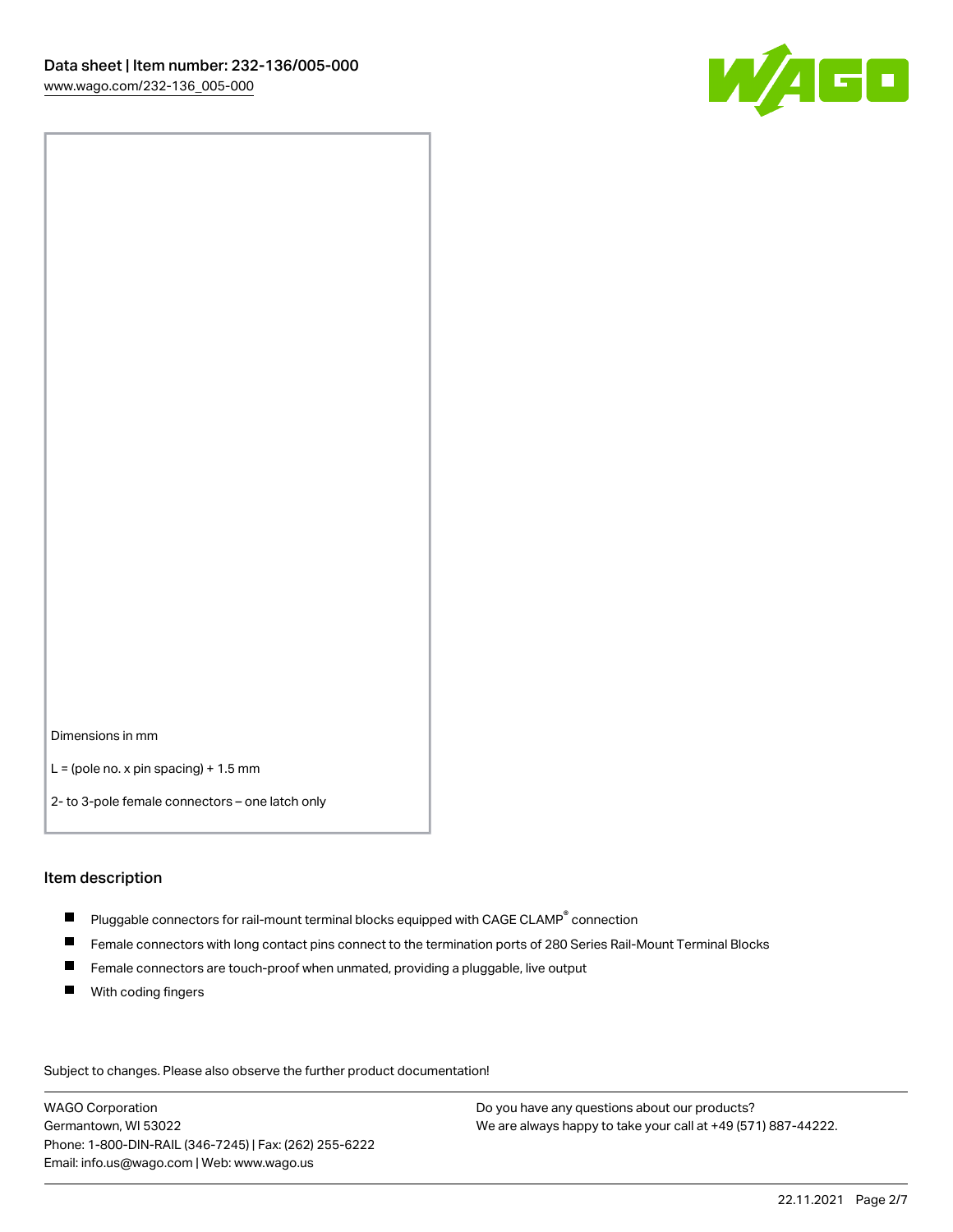

Dimensions in mm

 $L =$  (pole no. x pin spacing) + 1.5 mm

2- to 3-pole female connectors – one latch only

#### Item description

- $\blacksquare$  Pluggable connectors for rail-mount terminal blocks equipped with CAGE CLAMP $^\circ$  connection
- Female connectors with long contact pins connect to the termination ports of 280 Series Rail-Mount Terminal Blocks
- $\blacksquare$ Female connectors are touch-proof when unmated, providing a pluggable, live output
- $\blacksquare$ With coding fingers

Subject to changes. Please also observe the further product documentation! Data

WAGO Corporation Germantown, WI 53022 Phone: 1-800-DIN-RAIL (346-7245) | Fax: (262) 255-6222 Email: info.us@wago.com | Web: www.wago.us

Do you have any questions about our products? We are always happy to take your call at +49 (571) 887-44222.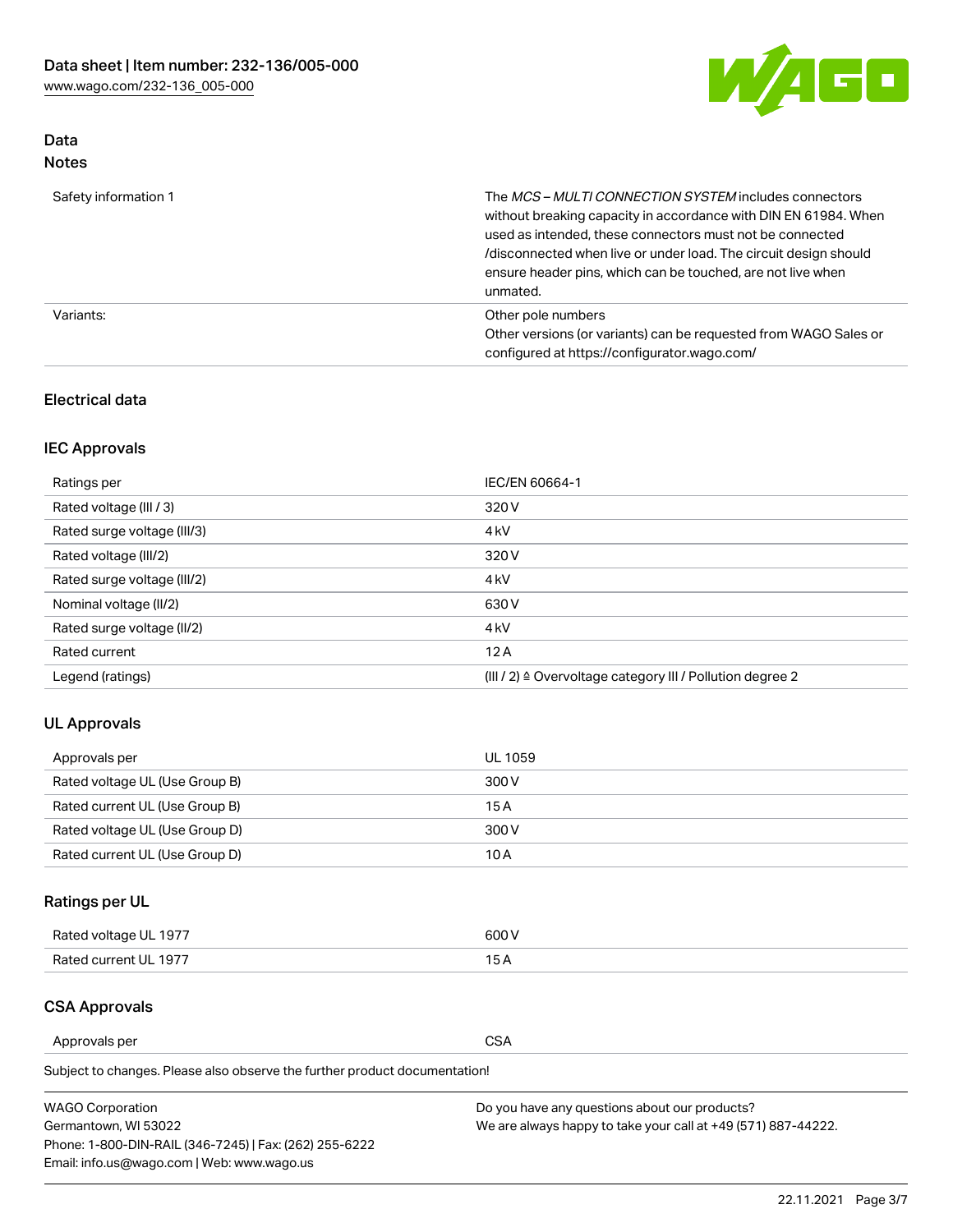

# Data Notes

| Safety information 1 | The MCS-MULTI CONNECTION SYSTEM includes connectors<br>without breaking capacity in accordance with DIN EN 61984. When<br>used as intended, these connectors must not be connected<br>/disconnected when live or under load. The circuit design should<br>ensure header pins, which can be touched, are not live when<br>unmated. |
|----------------------|-----------------------------------------------------------------------------------------------------------------------------------------------------------------------------------------------------------------------------------------------------------------------------------------------------------------------------------|
| Variants:            | Other pole numbers<br>Other versions (or variants) can be requested from WAGO Sales or<br>configured at https://configurator.wago.com/                                                                                                                                                                                            |

## Electrical data

# IEC Approvals

| Ratings per                 | IEC/EN 60664-1                                                        |
|-----------------------------|-----------------------------------------------------------------------|
| Rated voltage (III / 3)     | 320 V                                                                 |
| Rated surge voltage (III/3) | 4 <sub>k</sub> V                                                      |
| Rated voltage (III/2)       | 320 V                                                                 |
| Rated surge voltage (III/2) | 4 <sub>k</sub> V                                                      |
| Nominal voltage (II/2)      | 630 V                                                                 |
| Rated surge voltage (II/2)  | 4 <sub>k</sub> V                                                      |
| Rated current               | 12A                                                                   |
| Legend (ratings)            | $(III / 2)$ $\triangle$ Overvoltage category III / Pollution degree 2 |

## UL Approvals

| Approvals per                  | UL 1059 |
|--------------------------------|---------|
| Rated voltage UL (Use Group B) | 300 V   |
| Rated current UL (Use Group B) | 15 A    |
| Rated voltage UL (Use Group D) | 300 V   |
| Rated current UL (Use Group D) | 10 A    |

# Ratings per UL

| Rated voltage UL 1977 | 300 V |
|-----------------------|-------|
| Rated current UL 1977 |       |

# CSA Approvals

Approvals per CSA

Subject to changes. Please also observe the further product documentation!

| <b>WAGO Corporation</b>                                | Do you have any questions about our products?                 |
|--------------------------------------------------------|---------------------------------------------------------------|
| Germantown, WI 53022                                   | We are always happy to take your call at +49 (571) 887-44222. |
| Phone: 1-800-DIN-RAIL (346-7245)   Fax: (262) 255-6222 |                                                               |
| Email: info.us@wago.com   Web: www.wago.us             |                                                               |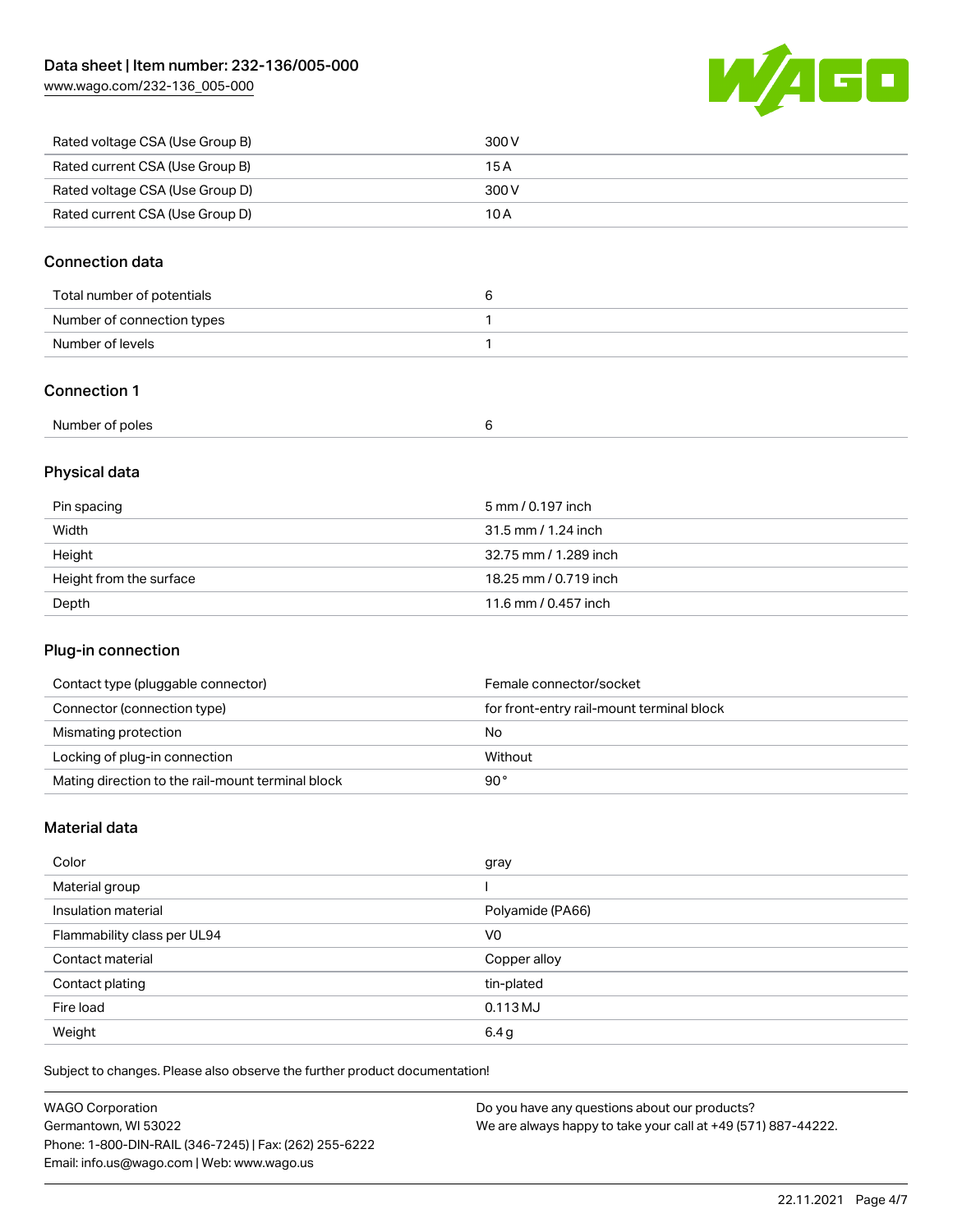[www.wago.com/232-136\\_005-000](http://www.wago.com/232-136_005-000)



| Rated voltage CSA (Use Group B) | 300 V |
|---------------------------------|-------|
| Rated current CSA (Use Group B) | 15 A  |
| Rated voltage CSA (Use Group D) | 300 V |
| Rated current CSA (Use Group D) | 10 A  |

## Connection data

| Total number of potentials |  |
|----------------------------|--|
| Number of connection types |  |
| Number of levels           |  |

# Connection 1

# Physical data

| Pin spacing             | 5 mm / 0.197 inch     |
|-------------------------|-----------------------|
| Width                   | 31.5 mm / 1.24 inch   |
| Height                  | 32.75 mm / 1.289 inch |
| Height from the surface | 18.25 mm / 0.719 inch |
| Depth                   | 11.6 mm / 0.457 inch  |

# Plug-in connection

| Contact type (pluggable connector)                | Female connector/socket                   |
|---------------------------------------------------|-------------------------------------------|
| Connector (connection type)                       | for front-entry rail-mount terminal block |
| Mismating protection                              | No                                        |
| Locking of plug-in connection                     | Without                                   |
| Mating direction to the rail-mount terminal block | 90°                                       |

## Material data

| Color                       | gray             |
|-----------------------------|------------------|
| Material group              |                  |
| Insulation material         | Polyamide (PA66) |
| Flammability class per UL94 | V <sub>0</sub>   |
| Contact material            | Copper alloy     |
| Contact plating             | tin-plated       |
| Fire load                   | $0.113$ MJ       |
| Weight                      | 6.4g             |

Subject to changes. Please also observe the further product documentation!

| <b>WAGO Corporation</b>                                | Do you have any questions about our products?                 |
|--------------------------------------------------------|---------------------------------------------------------------|
| Germantown, WI 53022                                   | We are always happy to take your call at +49 (571) 887-44222. |
| Phone: 1-800-DIN-RAIL (346-7245)   Fax: (262) 255-6222 |                                                               |
| Email: info.us@wago.com   Web: www.wago.us             |                                                               |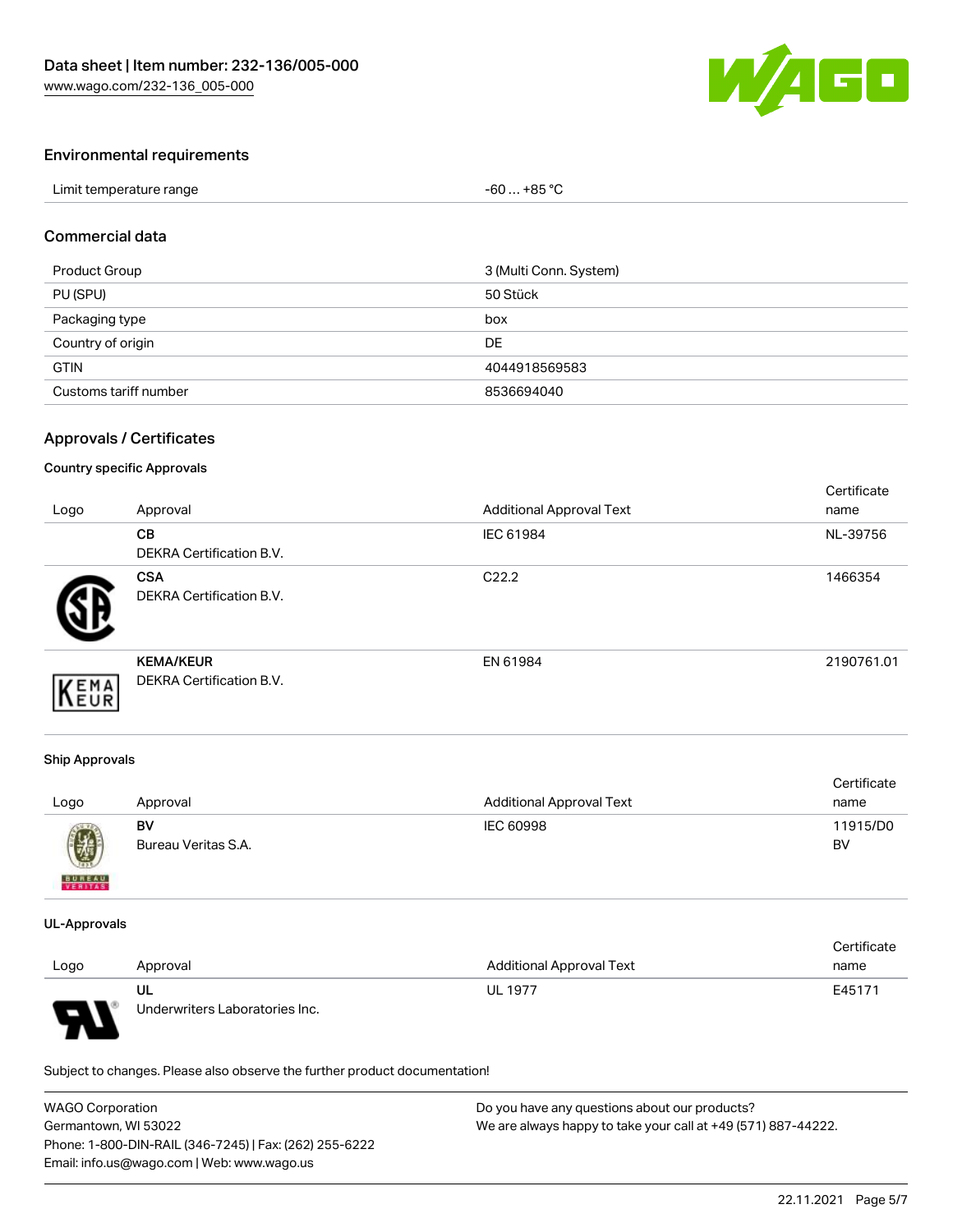

## Environmental requirements

| Limit temperature range | $-60+85 °C$ |
|-------------------------|-------------|
|-------------------------|-------------|

#### Commercial data

| Product Group         | 3 (Multi Conn. System) |
|-----------------------|------------------------|
| PU (SPU)              | 50 Stück               |
| Packaging type        | box                    |
| Country of origin     | DE                     |
| <b>GTIN</b>           | 4044918569583          |
| Customs tariff number | 8536694040             |

## Approvals / Certificates

#### Country specific Approvals

| Logo | Approval                                            | <b>Additional Approval Text</b> | Certificate<br>name |
|------|-----------------------------------------------------|---------------------------------|---------------------|
|      | <b>CB</b><br><b>DEKRA Certification B.V.</b>        | IEC 61984                       | NL-39756            |
|      | <b>CSA</b><br>DEKRA Certification B.V.              | C <sub>22.2</sub>               | 1466354             |
| EMA  | <b>KEMA/KEUR</b><br><b>DEKRA Certification B.V.</b> | EN 61984                        | 2190761.01          |

#### Ship Approvals

| Logo          | Approval            | <b>Additional Approval Text</b> | Certificate<br>name |
|---------------|---------------------|---------------------------------|---------------------|
| U             | BV                  | IEC 60998                       | 11915/D0            |
| <b>BUREAU</b> | Bureau Veritas S.A. |                                 | BV                  |

#### UL-Approvals

|      |                                |                                 | Certificate |
|------|--------------------------------|---------------------------------|-------------|
| Logo | Approval                       | <b>Additional Approval Text</b> | name        |
|      | UL                             | <b>UL 1977</b>                  | E45171      |
| J    | Underwriters Laboratories Inc. |                                 |             |

Subject to changes. Please also observe the further product documentation!

| <b>WAGO Corporation</b>                                | Do you have any questions about our products?                 |
|--------------------------------------------------------|---------------------------------------------------------------|
| Germantown, WI 53022                                   | We are always happy to take your call at +49 (571) 887-44222. |
| Phone: 1-800-DIN-RAIL (346-7245)   Fax: (262) 255-6222 |                                                               |
| Email: info.us@wago.com   Web: www.wago.us             |                                                               |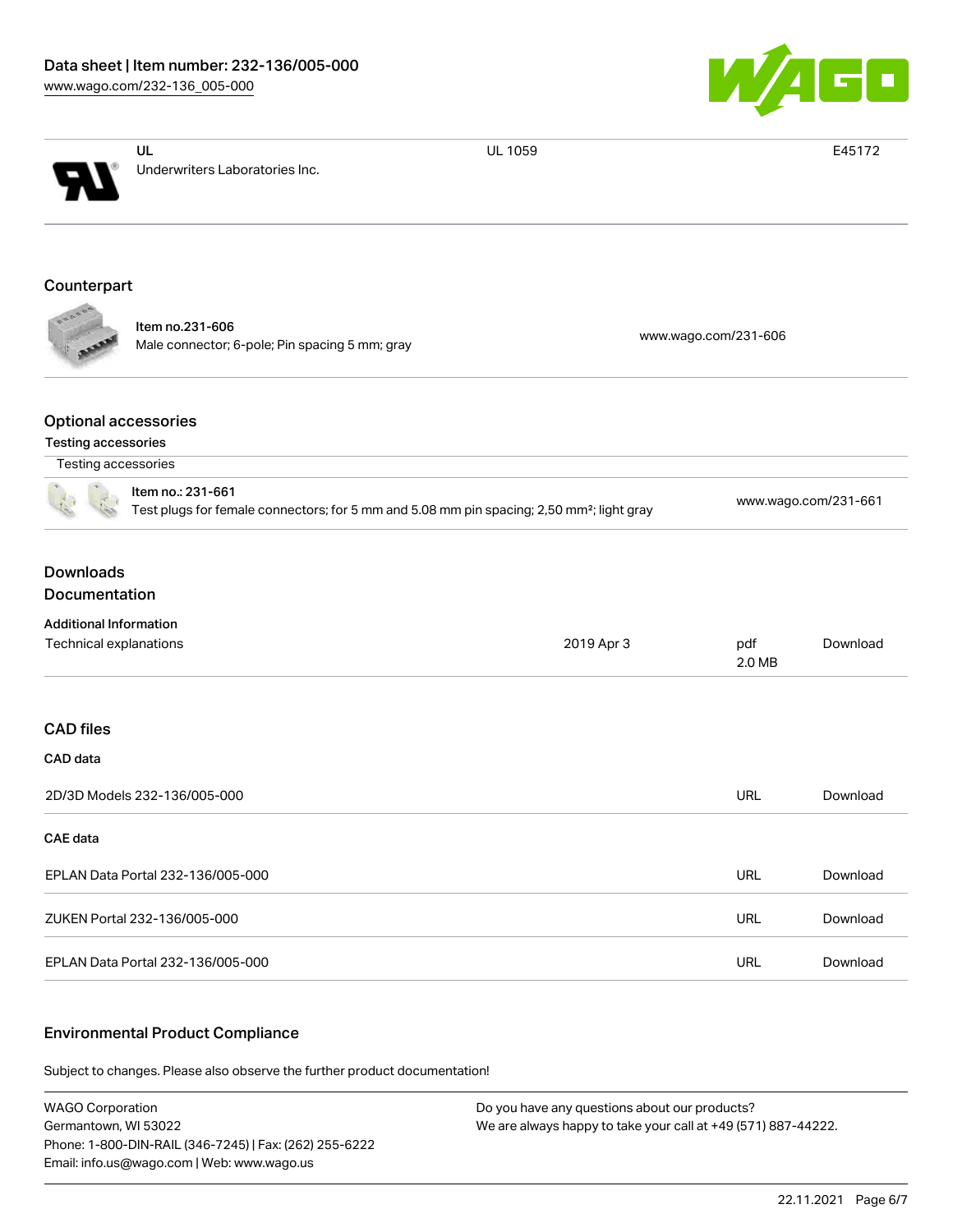

|                                                                                                                            | UL                                                                | <b>UL 1059</b> |                      | E45172   |
|----------------------------------------------------------------------------------------------------------------------------|-------------------------------------------------------------------|----------------|----------------------|----------|
|                                                                                                                            | Underwriters Laboratories Inc.                                    |                |                      |          |
| Counterpart                                                                                                                |                                                                   |                |                      |          |
|                                                                                                                            | Item no.231-606<br>Male connector; 6-pole; Pin spacing 5 mm; gray |                | www.wago.com/231-606 |          |
| <b>Optional accessories</b><br>Testing accessories                                                                         |                                                                   |                |                      |          |
| Testing accessories                                                                                                        |                                                                   |                |                      |          |
| Item no.: 231-661<br>Test plugs for female connectors; for 5 mm and 5.08 mm pin spacing; 2,50 mm <sup>2</sup> ; light gray |                                                                   |                | www.wago.com/231-661 |          |
| <b>Downloads</b><br>Documentation                                                                                          |                                                                   |                |                      |          |
| <b>Additional Information</b>                                                                                              |                                                                   |                |                      |          |
| Technical explanations                                                                                                     |                                                                   | 2019 Apr 3     | pdf<br>2.0 MB        | Download |
| <b>CAD</b> files                                                                                                           |                                                                   |                |                      |          |
| CAD data                                                                                                                   |                                                                   |                |                      |          |
|                                                                                                                            | 2D/3D Models 232-136/005-000                                      |                | <b>URL</b>           | Download |
| CAE data                                                                                                                   |                                                                   |                |                      |          |
|                                                                                                                            | EPLAN Data Portal 232-136/005-000                                 |                | <b>URL</b>           | Download |
|                                                                                                                            | ZUKEN Portal 232-136/005-000                                      |                | URL                  | Download |
|                                                                                                                            | EPLAN Data Portal 232-136/005-000                                 |                | URL                  | Download |
|                                                                                                                            |                                                                   |                |                      |          |

#### Environmental Product Compliance

Subject to changes. Please also observe the further product documentation!

WAGO Corporation Germantown, WI 53022 Phone: 1-800-DIN-RAIL (346-7245) | Fax: (262) 255-6222 Email: info.us@wago.com | Web: www.wago.us

Do you have any questions about our products? We are always happy to take your call at +49 (571) 887-44222.